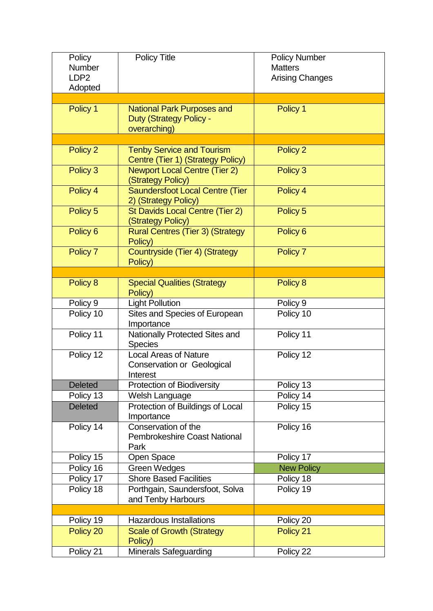| Policy<br>Number            | <b>Policy Title</b>                                                                 | <b>Policy Number</b><br><b>Matters</b> |
|-----------------------------|-------------------------------------------------------------------------------------|----------------------------------------|
| LDP <sub>2</sub><br>Adopted |                                                                                     | <b>Arising Changes</b>                 |
|                             |                                                                                     |                                        |
| Policy 1                    | <b>National Park Purposes and</b><br><b>Duty (Strategy Policy -</b><br>overarching) | Policy 1                               |
|                             |                                                                                     |                                        |
| Policy 2                    | <b>Tenby Service and Tourism</b><br>Centre (Tier 1) (Strategy Policy)               | Policy 2                               |
| Policy 3                    | <b>Newport Local Centre (Tier 2)</b><br>(Strategy Policy)                           | Policy 3                               |
| Policy 4                    | <b>Saundersfoot Local Centre (Tier</b><br>2) (Strategy Policy)                      | Policy 4                               |
| Policy 5                    | St Davids Local Centre (Tier 2)<br>(Strategy Policy)                                | Policy 5                               |
| Policy <sub>6</sub>         | <b>Rural Centres (Tier 3) (Strategy</b><br>Policy)                                  | Policy <sub>6</sub>                    |
| Policy 7                    | Countryside (Tier 4) (Strategy<br>Policy)                                           | Policy 7                               |
|                             |                                                                                     |                                        |
| Policy 8                    | <b>Special Qualities (Strategy</b><br>Policy)                                       | Policy 8                               |
| Policy 9                    | <b>Light Pollution</b>                                                              | Policy 9                               |
| Policy 10                   | Sites and Species of European<br>Importance                                         | Policy 10                              |
| Policy 11                   | Nationally Protected Sites and<br><b>Species</b>                                    | Policy 11                              |
| Policy 12                   | <b>Local Areas of Nature</b><br><b>Conservation or Geological</b><br>Interest       | Policy 12                              |
| <b>Deleted</b>              | Protection of Biodiversity                                                          | Policy 13                              |
| Policy 13                   | Welsh Language                                                                      | Policy 14                              |
| <b>Deleted</b>              | Protection of Buildings of Local<br>Importance                                      | Policy 15                              |
| Policy 14                   | Conservation of the<br><b>Pembrokeshire Coast National</b><br>Park                  | Policy 16                              |
| Policy 15                   | Open Space                                                                          | Policy 17                              |
| Policy 16                   | <b>Green Wedges</b>                                                                 | <b>New Policy</b>                      |
| Policy 17                   | <b>Shore Based Facilities</b>                                                       | Policy 18                              |
| Policy 18                   | Porthgain, Saundersfoot, Solva<br>and Tenby Harbours                                | Policy 19                              |
|                             |                                                                                     |                                        |
| Policy 19                   | <b>Hazardous Installations</b>                                                      | Policy 20                              |
| Policy 20                   | <b>Scale of Growth (Strategy</b><br>Policy)                                         | Policy 21                              |
| Policy 21                   | <b>Minerals Safeguarding</b>                                                        | Policy 22                              |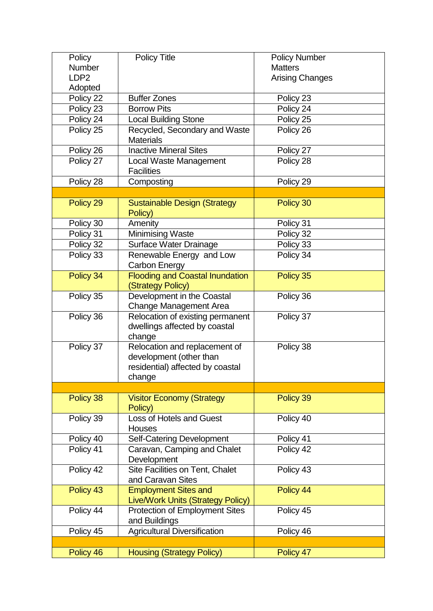| Policy           | <b>Policy Title</b>                                            | <b>Policy Number</b>   |
|------------------|----------------------------------------------------------------|------------------------|
| Number           |                                                                | <b>Matters</b>         |
| LDP <sub>2</sub> |                                                                | <b>Arising Changes</b> |
| Adopted          |                                                                |                        |
| Policy 22        | <b>Buffer Zones</b>                                            | Policy 23              |
| Policy 23        | <b>Borrow Pits</b>                                             | Policy 24              |
| Policy 24        | <b>Local Building Stone</b>                                    | Policy 25              |
| Policy 25        | Recycled, Secondary and Waste                                  | Policy 26              |
|                  | <b>Materials</b>                                               |                        |
| Policy 26        | <b>Inactive Mineral Sites</b>                                  | Policy 27              |
| Policy 27        | Local Waste Management                                         | Policy 28              |
|                  | <b>Facilities</b>                                              |                        |
| Policy 28        | Composting                                                     | Policy 29              |
|                  |                                                                |                        |
| Policy 29        | <b>Sustainable Design (Strategy</b>                            | Policy 30              |
|                  | Policy)                                                        |                        |
| Policy 30        | Amenity                                                        | Policy 31              |
| Policy 31        | <b>Minimising Waste</b>                                        | Policy 32              |
| Policy 32        | Surface Water Drainage                                         | Policy 33              |
| Policy 33        | Renewable Energy and Low                                       | Policy 34              |
| Policy 34        | <b>Carbon Energy</b><br><b>Flooding and Coastal Inundation</b> | Policy 35              |
|                  | (Strategy Policy)                                              |                        |
| Policy 35        | Development in the Coastal                                     | Policy 36              |
|                  | Change Management Area                                         |                        |
| Policy 36        | Relocation of existing permanent                               | Policy 37              |
|                  | dwellings affected by coastal                                  |                        |
|                  | change                                                         |                        |
| Policy 37        | Relocation and replacement of                                  | Policy 38              |
|                  | development (other than                                        |                        |
|                  | residential) affected by coastal                               |                        |
|                  | change                                                         |                        |
|                  |                                                                |                        |
| Policy 38        | <b>Visitor Economy (Strategy</b>                               | Policy 39              |
|                  | Policy)                                                        |                        |
| Policy 39        | <b>Loss of Hotels and Guest</b>                                | Policy 40              |
| Policy 40        | Houses                                                         | Policy 41              |
| Policy 41        | Self-Catering Development<br>Caravan, Camping and Chalet       | Policy 42              |
|                  | Development                                                    |                        |
| Policy 42        | Site Facilities on Tent, Chalet                                | Policy 43              |
|                  | and Caravan Sites                                              |                        |
| Policy 43        | <b>Employment Sites and</b>                                    | Policy 44              |
|                  | <b>Live/Work Units (Strategy Policy)</b>                       |                        |
| Policy 44        | <b>Protection of Employment Sites</b>                          | Policy 45              |
|                  | and Buildings                                                  |                        |
| Policy 45        | <b>Agricultural Diversification</b>                            | Policy 46              |
|                  |                                                                |                        |
| Policy 46        | <b>Housing (Strategy Policy)</b>                               | Policy 47              |